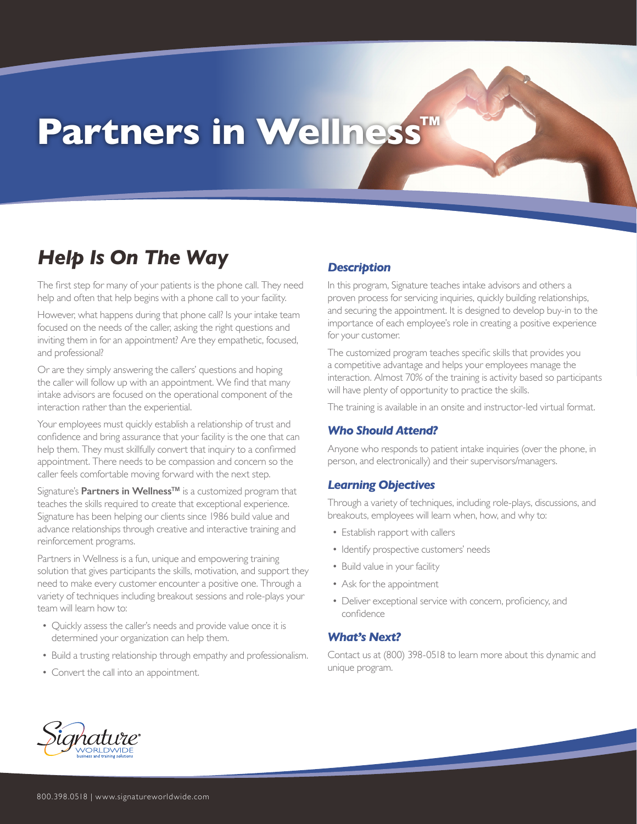# **Partners in Wellness™**

### *Help Is On The Way*

The first step for many of your patients is the phone call. They need help and often that help begins with a phone call to your facility.

However, what happens during that phone call? Is your intake team focused on the needs of the caller, asking the right questions and inviting them in for an appointment? Are they empathetic, focused, and professional?

Or are they simply answering the callers' questions and hoping the caller will follow up with an appointment. We find that many intake advisors are focused on the operational component of the interaction rather than the experiential.

Your employees must quickly establish a relationship of trust and confidence and bring assurance that your facility is the one that can help them. They must skillfully convert that inquiry to a confirmed appointment. There needs to be compassion and concern so the caller feels comfortable moving forward with the next step.

Signature's **Partners in Wellness™** is a customized program that teaches the skills required to create that exceptional experience. Signature has been helping our clients since 1986 build value and advance relationships through creative and interactive training and reinforcement programs.

Partners in Wellness is a fun, unique and empowering training solution that gives participants the skills, motivation, and support they need to make every customer encounter a positive one. Through a variety of techniques including breakout sessions and role-plays your team will learn how to:

- Quickly assess the caller's needs and provide value once it is determined your organization can help them.
- Build a trusting relationship through empathy and professionalism.
- Convert the call into an appointment.

#### *Description*

In this program, Signature teaches intake advisors and others a proven process for servicing inquiries, quickly building relationships, and securing the appointment. It is designed to develop buy-in to the importance of each employee's role in creating a positive experience for your customer.

The customized program teaches specific skills that provides you a competitive advantage and helps your employees manage the interaction. Almost 70% of the training is activity based so participants will have plenty of opportunity to practice the skills.

The training is available in an onsite and instructor-led virtual format.

#### *Who Should Attend?*

Anyone who responds to patient intake inquiries (over the phone, in person, and electronically) and their supervisors/managers.

#### *Learning Objectives*

Through a variety of techniques, including role-plays, discussions, and breakouts, employees will learn when, how, and why to:

- Establish rapport with callers
- Identify prospective customers' needs
- Build value in your facility
- Ask for the appointment
- Deliver exceptional service with concern, proficiency, and confidence

#### *What's Next?*

Contact us at (800) 398-0518 to learn more about this dynamic and unique program.